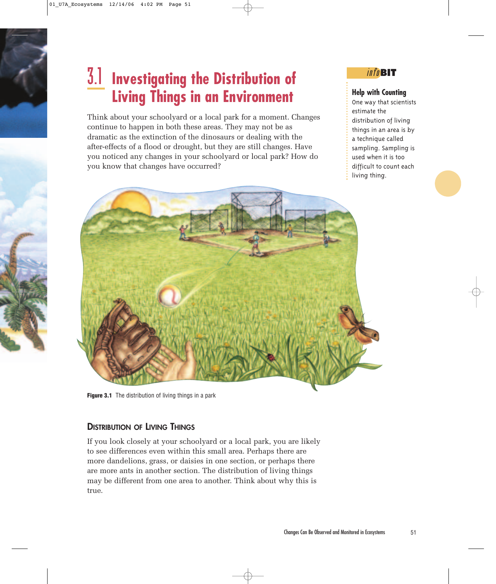## 3.1 **Investigating the Distribution of Living Things in an Environment**

Think about your schoolyard or a local park for a moment. Changes continue to happen in both these areas. They may not be as dramatic as the extinction of the dinosaurs or dealing with the after-effects of a flood or drought, but they are still changes. Have you noticed any changes in your schoolyard or local park? How do you know that changes have occurred?

#### info**BIT**

#### **Help with Counting**

One way that scientists estimate the distribution of living things in an area is by a technique called sampling. Sampling is used when it is too difficult to count each living thing.



**Figure 3.1** The distribution of living things in a park

#### **DISTRIBUTION OF LIVING THINGS**

If you look closely at your schoolyard or a local park, you are likely to see differences even within this small area. Perhaps there are more dandelions, grass, or daisies in one section, or perhaps there are more ants in another section. The distribution of living things may be different from one area to another. Think about why this is true.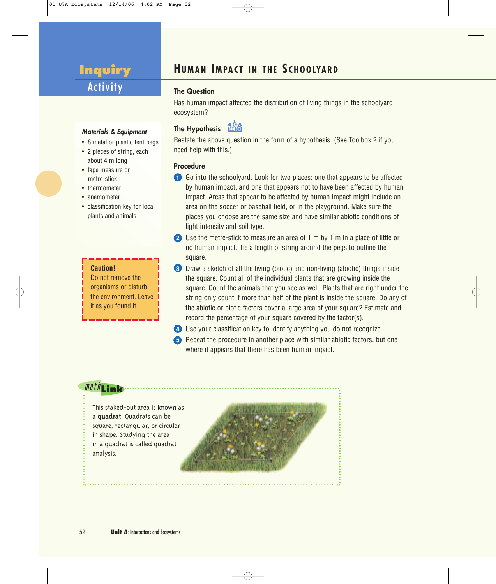## **Inquiry**  Activity

#### **The Question**

Has human impact affected the distribution of living things in the schoolyard ecosystem?

#### **Materials & Equipment**

- 8 metal or plastic tent pegs
- 2 pieces of string, each about 4 m long
- tape measure or metre-stick
- thermometer
- anemometer
- classification key for local plants and animals

#### **Caution!**

Do not remove the organisms or disturb the environment. Leave it as you found it.

#### **The Hypothesis**

Restate the above question in the form of a hypothesis. (See Toolbox 2 if you need help with this.)

#### **Procedure**

- **1** Go into the schoolyard. Look for two places: one that appears to be affected by human impact, and one that appears not to have been affected by human impact. Areas that appear to be affected by human impact might include an area on the soccer or baseball field, or in the playground. Make sure the places you choose are the same size and have similar abiotic conditions of light intensity and soil type.
- **2** Use the metre-stick to measure an area of 1 m by 1 m in a place of little or no human impact. Tie a length of string around the pegs to outline the square.
- **3** Draw a sketch of all the living (biotic) and non-living (abiotic) things inside the square. Count all of the individual plants that are growing inside the square. Count the animals that you see as well. Plants that are right under the string only count if more than half of the plant is inside the square. Do any of the abiotic or biotic factors cover a large area of your square? Estimate and record the percentage of your square covered by the factor(s).
- **4** Use your classification key to identify anything you do not recognize.
- **5** Repeat the procedure in another place with similar abiotic factors, but one where it appears that there has been human impact.

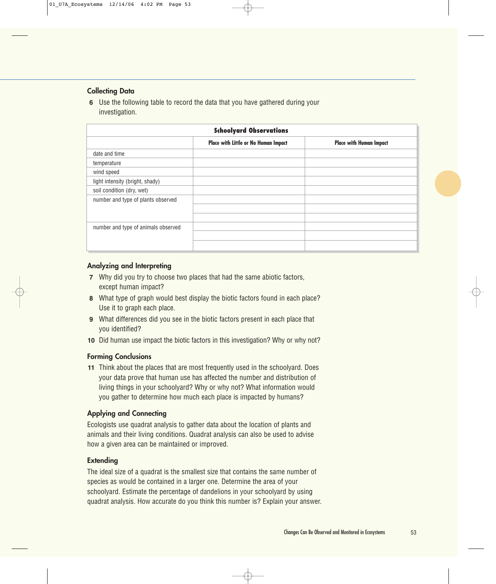#### **Collecting Data**

**6** Use the following table to record the data that you have gathered during your investigation.

| <b>Schoolyard Observations</b>      |                                      |                                |  |  |
|-------------------------------------|--------------------------------------|--------------------------------|--|--|
|                                     | Place with Little or No Human Impact | <b>Place with Human Impact</b> |  |  |
| date and time                       |                                      |                                |  |  |
| temperature                         |                                      |                                |  |  |
| wind speed                          |                                      |                                |  |  |
| light intensity (bright, shady)     |                                      |                                |  |  |
| soil condition (dry, wet)           |                                      |                                |  |  |
| number and type of plants observed  |                                      |                                |  |  |
|                                     |                                      |                                |  |  |
|                                     |                                      |                                |  |  |
| number and type of animals observed |                                      |                                |  |  |
|                                     |                                      |                                |  |  |
|                                     |                                      |                                |  |  |

#### **Analyzing and Interpreting**

- **7** Why did you try to choose two places that had the same abiotic factors, except human impact?
- **8** What type of graph would best display the biotic factors found in each place? Use it to graph each place.
- **9** What differences did you see in the biotic factors present in each place that you identified?
- **10** Did human use impact the biotic factors in this investigation? Why or why not?

#### **Forming Conclusions**

**11** Think about the places that are most frequently used in the schoolyard. Does your data prove that human use has affected the number and distribution of living things in your schoolyard? Why or why not? What information would you gather to determine how much each place is impacted by humans?

#### **Applying and Connecting**

Ecologists use quadrat analysis to gather data about the location of plants and animals and their living conditions. Quadrat analysis can also be used to advise how a given area can be maintained or improved.

#### **Extending**

The ideal size of a quadrat is the smallest size that contains the same number of species as would be contained in a larger one. Determine the area of your schoolyard. Estimate the percentage of dandelions in your schoolyard by using quadrat analysis. How accurate do you think this number is? Explain your answer.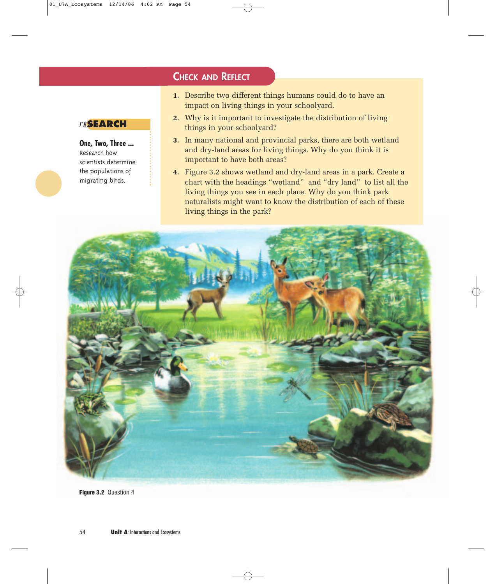#### **CHECK AND REFLECT**

- **1.** Describe two different things humans could do to have an impact on living things in your schoolyard.
- **2.** Why is it important to investigate the distribution of living things in your schoolyard?
- **3.** In many national and provincial parks, there are both wetland and dry-land areas for living things. Why do you think it is important to have both areas?
- **4.** Figure 3.2 shows wetland and dry-land areas in a park. Create a chart with the headings "wetland" and "dry land" to list all the living things you see in each place. Why do you think park naturalists might want to know the distribution of each of these living things in the park?



**Figure 3.2** Question 4

#### re**SEARCH**

**One, Two, Three ...** Research how scientists determine the populations of migrating birds.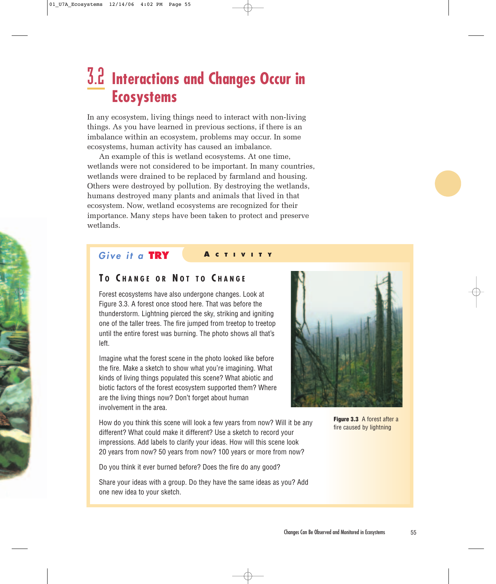## 3.2 **Interactions and Changes Occur in Ecosystems**

In any ecosystem, living things need to interact with non-living things. As you have learned in previous sections, if there is an imbalance within an ecosystem, problems may occur. In some ecosystems, human activity has caused an imbalance.

An example of this is wetland ecosystems. At one time, wetlands were not considered to be important. In many countries, wetlands were drained to be replaced by farmland and housing. Others were destroyed by pollution. By destroying the wetlands, humans destroyed many plants and animals that lived in that ecosystem. Now, wetland ecosystems are recognized for their importance. Many steps have been taken to protect and preserve wetlands.

#### **Give it a TRY <sup>A</sup> CTIVITY**

#### **T O C HANGE OR N OT TO C HANGE**

Forest ecosystems have also undergone changes. Look at Figure 3.3. A forest once stood here. That was before the thunderstorm. Lightning pierced the sky, striking and igniting one of the taller trees. The fire jumped from treetop to treetop until the entire forest was burning. The photo shows all that's left.

Imagine what the forest scene in the photo looked like before the fire. Make a sketch to show what you're imagining. What kinds of living things populated this scene? What abiotic and biotic factors of the forest ecosystem supported them? Where are the living things now? Don't forget about human involvement in the area.

How do you think this scene will look a few years from now? Will it be any different? What could make it different? Use a sketch to record your impressions. Add labels to clarify your ideas. How will this scene look 20 years from now? 50 years from now? 100 years or more from now?

Do you think it ever burned before? Does the fire do any good?

Share your ideas with a group. Do they have the same ideas as you? Add one new idea to your sketch.



**Figure 3.3** A forest after a fire caused by lightning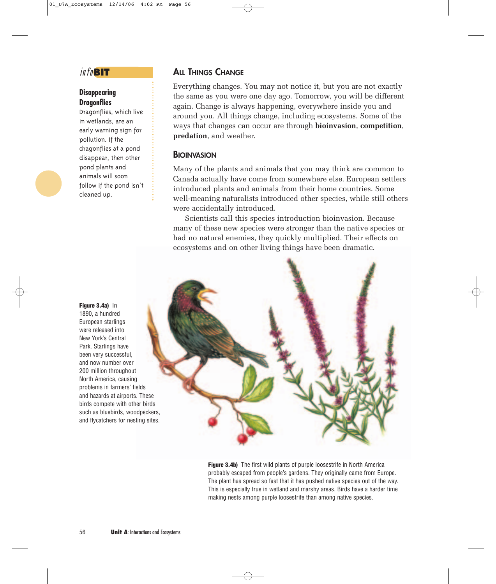#### info**BIT**

#### **Disappearing Dragonflies**

Dragonflies, which live in wetlands, are an early warning sign for pollution. If the dragonflies at a pond disappear, then other pond plants and animals will soon follow if the pond isn't cleaned up.

**Figure 3.4a)** In 1890, a hundred European starlings were released into New York's Central Park. Starlings have been very successful, and now number over 200 million throughout North America, causing problems in farmers' fields and hazards at airports. These birds compete with other birds such as bluebirds, woodpeckers, and flycatchers for nesting sites.

#### **ALL THINGS CHANGE**

Everything changes. You may not notice it, but you are not exactly the same as you were one day ago. Tomorrow, you will be different again. Change is always happening, everywhere inside you and around you. All things change, including ecosystems. Some of the ways that changes can occur are through **bioinvasion**, **competition**, **predation**, and weather.

#### **BIOINVASION**

Many of the plants and animals that you may think are common to Canada actually have come from somewhere else. European settlers introduced plants and animals from their home countries. Some well-meaning naturalists introduced other species, while still others were accidentally introduced.

Scientists call this species introduction bioinvasion. Because many of these new species were stronger than the native species or had no natural enemies, they quickly multiplied. Their effects on ecosystems and on other living things have been dramatic.



**Figure 3.4b)** The first wild plants of purple loosestrife in North America probably escaped from people's gardens. They originally came from Europe. The plant has spread so fast that it has pushed native species out of the way. This is especially true in wetland and marshy areas. Birds have a harder time making nests among purple loosestrife than among native species.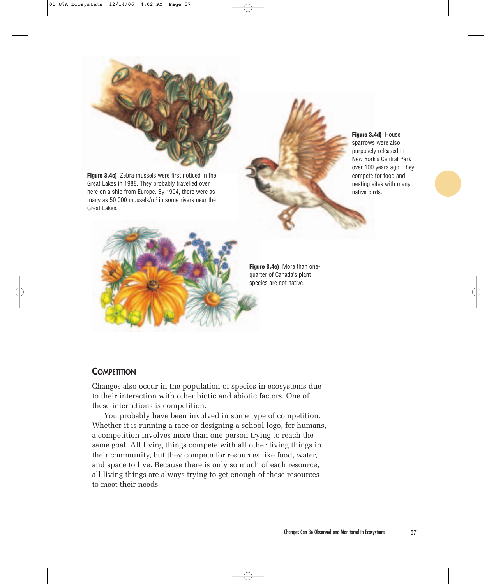

**Figure 3.4c)** Zebra mussels were first noticed in the Great Lakes in 1988. They probably travelled over here on a ship from Europe. By 1994, there were as many as 50 000 mussels/ $m<sup>2</sup>$  in some rivers near the Great Lakes.





**Figure 3.4e)** More than onequarter of Canada's plant species are not native.

#### **COMPETITION**

Changes also occur in the population of species in ecosystems due to their interaction with other biotic and abiotic factors. One of these interactions is competition.

You probably have been involved in some type of competition. Whether it is running a race or designing a school logo, for humans, a competition involves more than one person trying to reach the same goal. All living things compete with all other living things in their community, but they compete for resources like food, water, and space to live. Because there is only so much of each resource, all living things are always trying to get enough of these resources to meet their needs.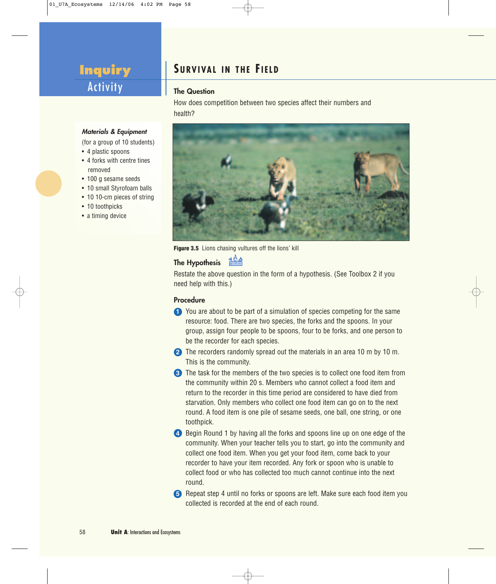## **Inquiry**  Activity

## **SURVIVAL IN THE FIELD**

#### **The Question**

How does competition between two species affect their numbers and health?



**Figure 3.5** Lions chasing vultures off the lions' kill

## **The Hypothesis** 1

Restate the above question in the form of a hypothesis. (See Toolbox 2 if you need help with this.)

#### **Procedure**

- **1** You are about to be part of a simulation of species competing for the same resource: food. There are two species, the forks and the spoons. In your group, assign four people to be spoons, four to be forks, and one person to be the recorder for each species.
- **2** The recorders randomly spread out the materials in an area 10 m by 10 m. This is the community.
- **3** The task for the members of the two species is to collect one food item from the community within 20 s. Members who cannot collect a food item and return to the recorder in this time period are considered to have died from starvation. Only members who collect one food item can go on to the next round. A food item is one pile of sesame seeds, one ball, one string, or one toothpick.
- **4** Begin Round 1 by having all the forks and spoons line up on one edge of the community. When your teacher tells you to start, go into the community and collect one food item. When you get your food item, come back to your recorder to have your item recorded. Any fork or spoon who is unable to collect food or who has collected too much cannot continue into the next round.

**5** Repeat step 4 until no forks or spoons are left. Make sure each food item you collected is recorded at the end of each round.

#### **Materials & Equipment**

(for a group of 10 students)

- 4 plastic spoons
- 4 forks with centre tines removed
- 100 g sesame seeds
- 10 small Styrofoam balls
- 10 10-cm pieces of string
- 10 toothpicks
- a timing device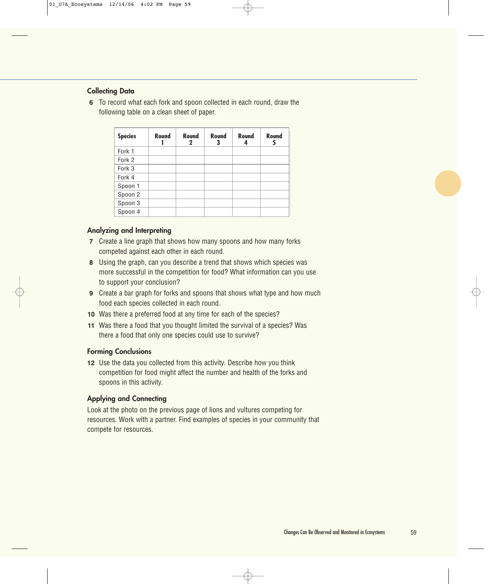#### **Collecting Data**

**6** To record what each fork and spoon collected in each round, draw the following table on a clean sheet of paper.

| <b>Species</b> | Round | Round<br>2 | Round<br>3 | Round | Round |
|----------------|-------|------------|------------|-------|-------|
| Fork 1         |       |            |            |       |       |
| Fork 2         |       |            |            |       |       |
| Fork 3         |       |            |            |       |       |
| Fork 4         |       |            |            |       |       |
| Spoon 1        |       |            |            |       |       |
| Spoon 2        |       |            |            |       |       |
| Spoon 3        |       |            |            |       |       |
| Spoon 4        |       |            |            |       |       |

#### **Analyzing and Interpreting**

- **7** Create a line graph that shows how many spoons and how many forks competed against each other in each round.
- **8** Using the graph, can you describe a trend that shows which species was more successful in the competition for food? What information can you use to support your conclusion?
- **9** Create a bar graph for forks and spoons that shows what type and how much food each species collected in each round.
- **10** Was there a preferred food at any time for each of the species?
- **11** Was there a food that you thought limited the survival of a species? Was there a food that only one species could use to survive?

#### **Forming Conclusions**

**12** Use the data you collected from this activity. Describe how you think competition for food might affect the number and health of the forks and spoons in this activity.

#### **Applying and Connecting**

Look at the photo on the previous page of lions and vultures competing for resources. Work with a partner. Find examples of species in your community that compete for resources.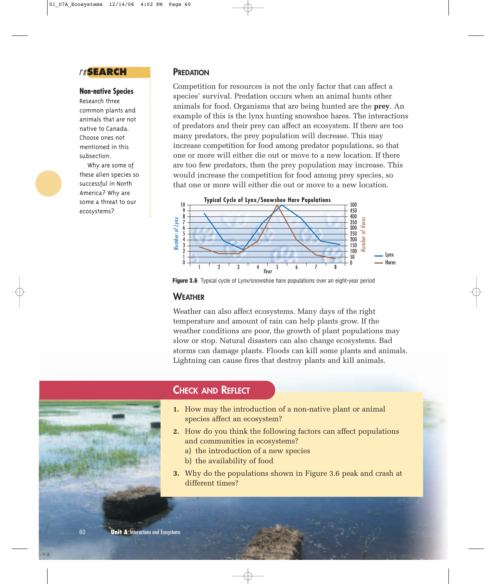#### re**SEARCH**

#### **Non-native Species**

Research three common plants and animals that are not native to Canada. Choose ones not mentioned in this subsection.

Why are some of these alien species so successful in North America? Why are some a threat to our ecosystems?

#### **PREDATION**

Competition for resources is not the only factor that can affect a species' survival. Predation occurs when an animal hunts other animals for food. Organisms that are being hunted are the **prey**. An example of this is the lynx hunting snowshoe hares. The interactions of predators and their prey can affect an ecosystem. If there are too many predators, the prey population will decrease. This may increase competition for food among predator populations, so that one or more will either die out or move to a new location. If there are too few predators, then the prey population may increase. This would increase the competition for food among prey species, so that one or more will either die out or move to a new location.



**Figure 3.6** Typical cycle of Lynx/snowshoe hare populations over an eight-year period

#### **WEATHER**

Weather can also affect ecosystems. Many days of the right temperature and amount of rain can help plants grow. If the weather conditions are poor, the growth of plant populations may slow or stop. Natural disasters can also change ecosystems. Bad storms can damage plants. Floods can kill some plants and animals. Lightning can cause fires that destroy plants and kill animals.



#### **CHECK AND REFLECT**

- **1.** How may the introduction of a non-native plant or animal species affect an ecosystem?
- **2.** How do you think the following factors can affect populations and communities in ecosystems?
	- a) the introduction of a new species
	- b) the availability of food
- **3.** Why do the populations shown in Figure 3.6 peak and crash at different times?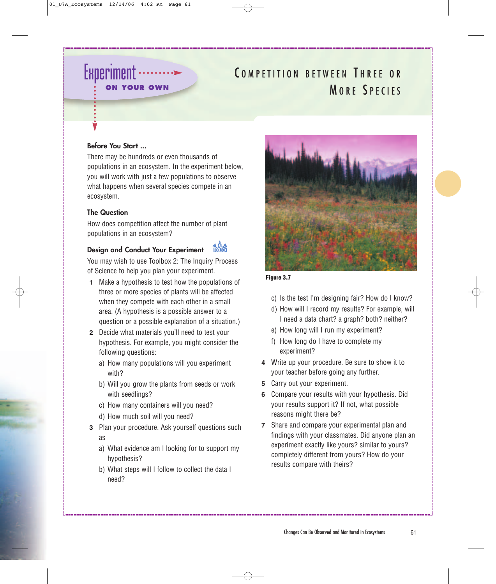## **Experiment ON YOUR OWN**

## COMPETITION BETWEEN THREE OR MORE SPECIES

#### **Before You Start ...**

There may be hundreds or even thousands of populations in an ecosystem. In the experiment below, you will work with just a few populations to observe what happens when several species compete in an ecosystem.

#### **The Question**

How does competition affect the number of plant populations in an ecosystem?

#### **Design and Conduct Your Experiment**

You may wish to use Toolbox 2: The Inquiry Process of Science to help you plan your experiment.

- **1** Make a hypothesis to test how the populations of three or more species of plants will be affected when they compete with each other in a small area. (A hypothesis is a possible answer to a question or a possible explanation of a situation.)
- **2** Decide what materials you'll need to test your hypothesis. For example, you might consider the following questions:
	- a) How many populations will you experiment with?
	- b) Will you grow the plants from seeds or work with seedlings?
	- c) How many containers will you need?
	- d) How much soil will you need?
- **3** Plan your procedure. Ask yourself questions such as
	- a) What evidence am I looking for to support my hypothesis?
	- b) What steps will I follow to collect the data I need?



**Figure 3.7**

- c) Is the test I'm designing fair? How do I know?
- d) How will I record my results? For example, will I need a data chart? a graph? both? neither?
- e) How long will I run my experiment?
- f) How long do I have to complete my experiment?
- **4** Write up your procedure. Be sure to show it to your teacher before going any further.
- **5** Carry out your experiment.
- **6** Compare your results with your hypothesis. Did your results support it? If not, what possible reasons might there be?
- **7** Share and compare your experimental plan and findings with your classmates. Did anyone plan an experiment exactly like yours? similar to yours? completely different from yours? How do your results compare with theirs?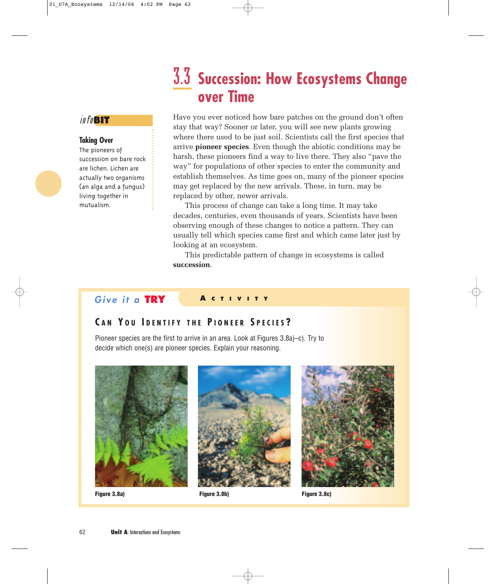## 3.3 **Succession: How Ecosystems Change over Time**

#### info**BIT**

#### **Taking Over**

The pioneers of succession on bare rock are lichen. Lichen are actually two organisms (an alga and a fungus) living together in mutualism.

Have you ever noticed how bare patches on the ground don't often stay that way? Sooner or later, you will see new plants growing where there used to be just soil. Scientists call the first species that arrive **pioneer species**. Even though the abiotic conditions may be harsh, these pioneers find a way to live there. They also "pave the way" for populations of other species to enter the community and establish themselves. As time goes on, many of the pioneer species may get replaced by the new arrivals. These, in turn, may be replaced by other, newer arrivals.

This process of change can take a long time. It may take decades, centuries, even thousands of years. Scientists have been observing enough of these changes to notice a pattern. They can usually tell which species came first and which came later just by looking at an ecosystem.

This predictable pattern of change in ecosystems is called **succession**.

#### **Give it a TRY <sup>A</sup> CTIVITY**

#### **C A N Y O U I DENTIFY THE P IONEER S PECIES ?**

Pioneer species are the first to arrive in an area. Look at Figures 3.8a)–c). Try to decide which one(s) are pioneer species. Explain your reasoning.







**Figure 3.8a) Figure 3.8c) Figure 3.8b)**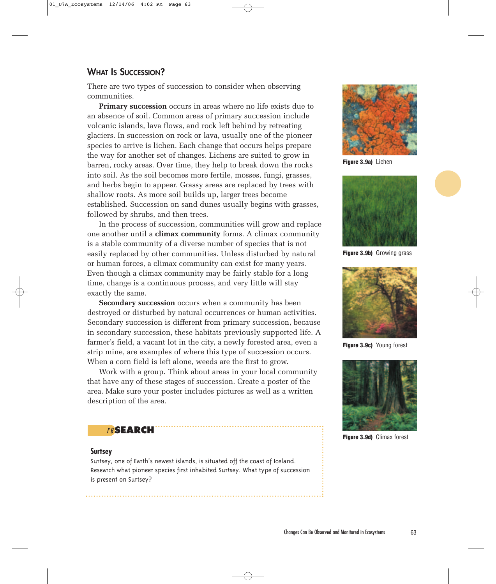#### **WHAT IS SUCCESSION?**

There are two types of succession to consider when observing communities.

**Primary succession** occurs in areas where no life exists due to an absence of soil. Common areas of primary succession include volcanic islands, lava flows, and rock left behind by retreating glaciers. In succession on rock or lava, usually one of the pioneer species to arrive is lichen. Each change that occurs helps prepare the way for another set of changes. Lichens are suited to grow in barren, rocky areas. Over time, they help to break down the rocks into soil. As the soil becomes more fertile, mosses, fungi, grasses, and herbs begin to appear. Grassy areas are replaced by trees with shallow roots. As more soil builds up, larger trees become established. Succession on sand dunes usually begins with grasses, followed by shrubs, and then trees.

In the process of succession, communities will grow and replace one another until a **climax community** forms. A climax community is a stable community of a diverse number of species that is not easily replaced by other communities. Unless disturbed by natural or human forces, a climax community can exist for many years. Even though a climax community may be fairly stable for a long time, change is a continuous process, and very little will stay exactly the same.

**Secondary succession** occurs when a community has been destroyed or disturbed by natural occurrences or human activities. Secondary succession is different from primary succession, because in secondary succession, these habitats previously supported life. A farmer's field, a vacant lot in the city, a newly forested area, even a strip mine, are examples of where this type of succession occurs. When a corn field is left alone, weeds are the first to grow.

Work with a group. Think about areas in your local community that have any of these stages of succession. Create a poster of the area. Make sure your poster includes pictures as well as a written description of the area.

#### re**SEARCH**

#### **Surtsey**

Surtsey, one of Earth's newest islands, is situated off the coast of Iceland. Research what pioneer species first inhabited Surtsey. What type of succession is present on Surtsey?



**Figure 3.9a)** Lichen



**Figure 3.9b)** Growing grass



**Figure 3.9c)** Young forest



**Figure 3.9d)** Climax forest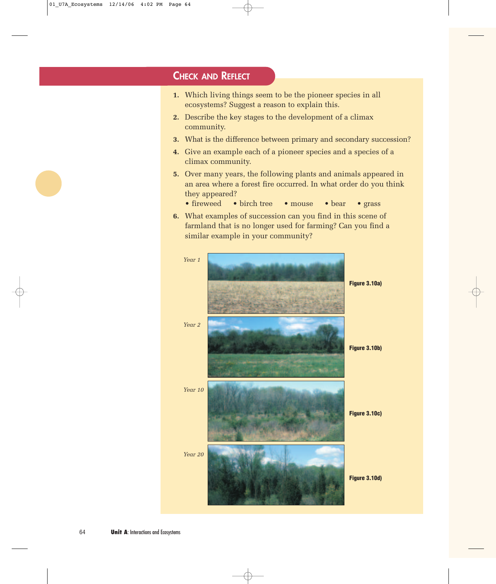#### **CHECK AND REFLECT**

- **1.** Which living things seem to be the pioneer species in all ecosystems? Suggest a reason to explain this.
- **2.** Describe the key stages to the development of a climax community.
- **3.** What is the difference between primary and secondary succession?
- **4.** Give an example each of a pioneer species and a species of a climax community.
- **5.** Over many years, the following plants and animals appeared in an area where a forest fire occurred. In what order do you think they appeared?
	- fireweed birch tree mouse bear grass
- **6.** What examples of succession can you find in this scene of farmland that is no longer used for farming? Can you find a similar example in your community?

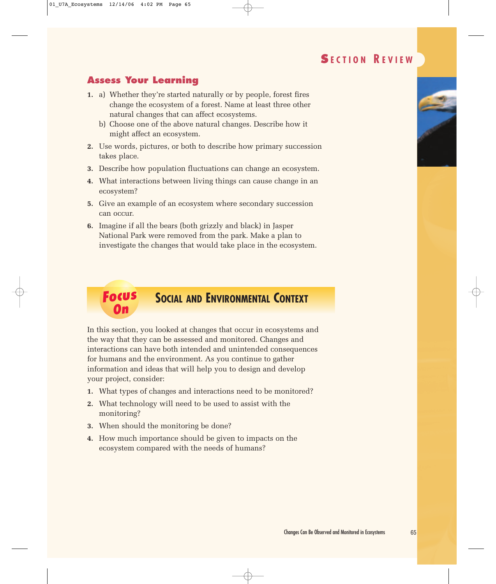### **S ECTION R EVIEW**

#### **Assess Your Learning**

- **1.** a) Whether they're started naturally or by people, forest fires change the ecosystem of a forest. Name at least three other natural changes that can affect ecosystems.
	- b) Choose one of the above natural changes. Describe how it might affect an ecosystem.
- **2.** Use words, pictures, or both to describe how primary succession takes place.
- **3.** Describe how population fluctuations can change an ecosystem.
- **4.** What interactions between living things can cause change in an ecosystem?
- **5.** Give an example of an ecosystem where secondary succession can occur.
- **6.** Imagine if all the bears (both grizzly and black) in Jasper National Park were removed from the park. Make a plan to investigate the changes that would take place in the ecosystem.

#### **Focus On SOCIAL AND ENVIRONMENTAL CONTEXT**

In this section, you looked at changes that occur in ecosystems and the way that they can be assessed and monitored. Changes and interactions can have both intended and unintended consequences for humans and the environment. As you continue to gather information and ideas that will help you to design and develop your project, consider:

- **1.** What types of changes and interactions need to be monitored?
- **2.** What technology will need to be used to assist with the monitoring?
- **3.** When should the monitoring be done?
- **4.** How much importance should be given to impacts on the ecosystem compared with the needs of humans?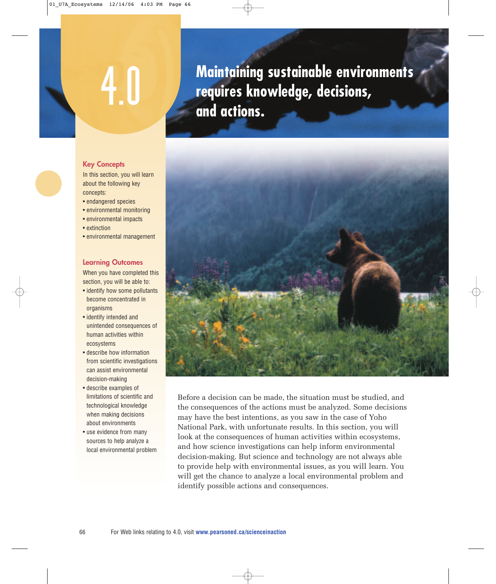# 4.0

**Maintaining sustainable environments requires knowledge, decisions, and actions.**



Before a decision can be made, the situation must be studied, and the consequences of the actions must be analyzed. Some decisions may have the best intentions, as you saw in the case of Yoho National Park, with unfortunate results. In this section, you will look at the consequences of human activities within ecosystems, and how science investigations can help inform environmental decision-making. But science and technology are not always able to provide help with environmental issues, as you will learn. You will get the chance to analyze a local environmental problem and identify possible actions and consequences.

#### **Key Concepts**

In this section, you will learn about the following key concepts:

- endangered species
- environmental monitoring
- environmental impacts
- extinction
- environmental management

#### **Learning Outcomes**

When you have completed this section, you will be able to:

- identify how some pollutants become concentrated in organisms
- identify intended and unintended consequences of human activities within ecosystems
- describe how information from scientific investigations can assist environmental decision-making
- describe examples of limitations of scientific and technological knowledge when making decisions about environments
- use evidence from many sources to help analyze a local environmental problem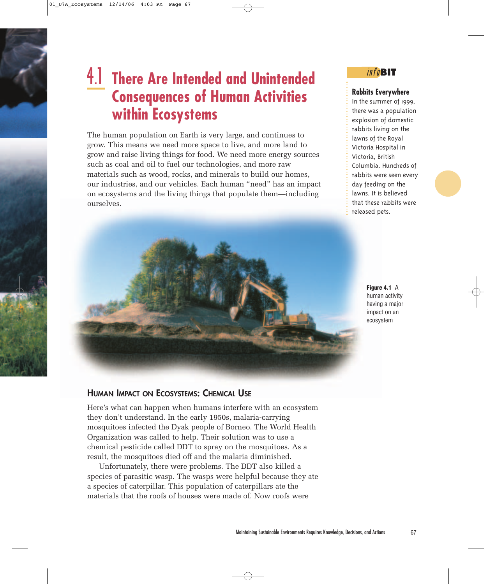## 4.1 **There Are Intended and Unintended Consequences of Human Activities within Ecosystems**

The human population on Earth is very large, and continues to grow. This means we need more space to live, and more land to grow and raise living things for food. We need more energy sources such as coal and oil to fuel our technologies, and more raw materials such as wood, rocks, and minerals to build our homes, our industries, and our vehicles. Each human "need" has an impact on ecosystems and the living things that populate them—including ourselves.

#### info**BIT**

#### **Rabbits Everywhere**

In the summer of 1999, there was a population explosion of domestic rabbits living on the lawns of the Royal Victoria Hospital in Victoria, British Columbia. Hundreds of rabbits were seen every day feeding on the lawns. It is believed that these rabbits were released pets.



**Figure 4.1** A human activity having a major impact on an ecosystem

#### **HUMAN IMPACT ON ECOSYSTEMS: CHEMICAL USE**

Here's what can happen when humans interfere with an ecosystem they don't understand. In the early 1950s, malaria-carrying mosquitoes infected the Dyak people of Borneo. The World Health Organization was called to help. Their solution was to use a chemical pesticide called DDT to spray on the mosquitoes. As a result, the mosquitoes died off and the malaria diminished.

Unfortunately, there were problems. The DDT also killed a species of parasitic wasp. The wasps were helpful because they ate a species of caterpillar. This population of caterpillars ate the materials that the roofs of houses were made of. Now roofs were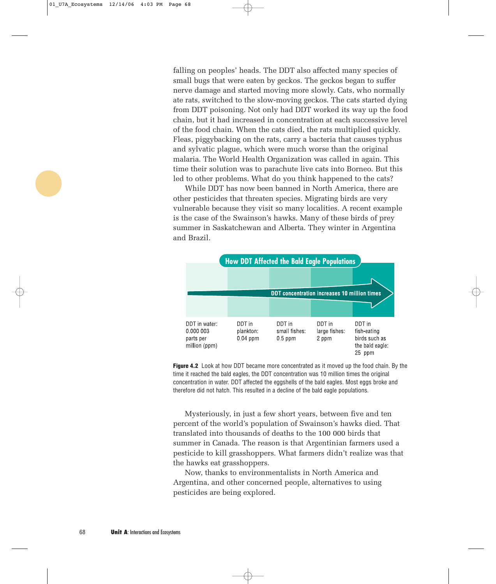falling on peoples' heads. The DDT also affected many species of small bugs that were eaten by geckos. The geckos began to suffer nerve damage and started moving more slowly. Cats, who normally ate rats, switched to the slow-moving geckos. The cats started dying from DDT poisoning. Not only had DDT worked its way up the food chain, but it had increased in concentration at each successive level of the food chain. When the cats died, the rats multiplied quickly. Fleas, piggybacking on the rats, carry a bacteria that causes typhus and sylvatic plague, which were much worse than the original malaria. The World Health Organization was called in again. This time their solution was to parachute live cats into Borneo. But this led to other problems. What do you think happened to the cats?

While DDT has now been banned in North America, there are other pesticides that threaten species. Migrating birds are very vulnerable because they visit so many localities. A recent example is the case of the Swainson's hawks. Many of these birds of prey summer in Saskatchewan and Alberta. They winter in Argentina and Brazil.



**Figure 4.2** Look at how DDT became more concentrated as it moved up the food chain. By the time it reached the bald eagles, the DDT concentration was 10 million times the original concentration in water. DDT affected the eggshells of the bald eagles. Most eggs broke and therefore did not hatch. This resulted in a decline of the bald eagle populations.

Mysteriously, in just a few short years, between five and ten percent of the world's population of Swainson's hawks died. That translated into thousands of deaths to the 100 000 birds that summer in Canada. The reason is that Argentinian farmers used a pesticide to kill grasshoppers. What farmers didn't realize was that the hawks eat grasshoppers.

Now, thanks to environmentalists in North America and Argentina, and other concerned people, alternatives to using pesticides are being explored.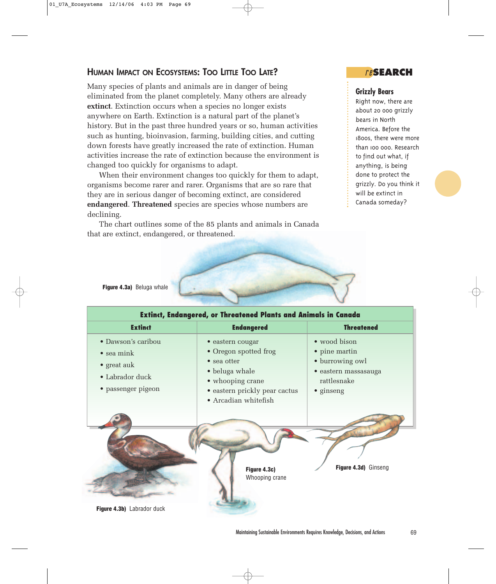#### **HUMAN IMPACT ON ECOSYSTEMS: TOO LITTLE TOO LATE?**

Many species of plants and animals are in danger of being eliminated from the planet completely. Many others are already **extinct**. Extinction occurs when a species no longer exists anywhere on Earth. Extinction is a natural part of the planet's history. But in the past three hundred years or so, human activities such as hunting, bioinvasion, farming, building cities, and cutting down forests have greatly increased the rate of extinction. Human activities increase the rate of extinction because the environment is changed too quickly for organisms to adapt.

When their environment changes too quickly for them to adapt, organisms become rarer and rarer. Organisms that are so rare that they are in serious danger of becoming extinct, are considered **endangered**. **Threatened** species are species whose numbers are declining.

The chart outlines some of the 85 plants and animals in Canada that are extinct, endangered, or threatened.



re**SEARCH**

#### **Grizzly Bears**

Right now, there are about 20 000 grizzly bears in North America. Before the 1800s, there were more than 100 000. Research to find out what, if anything, is being done to protect the grizzly. Do you think it will be extinct in Canada someday?

**Figure 4.3a)** Beluga whale

| <b>Extinct, Endangered, or Threatened Plants and Animals in Canada</b>                                   |                                                                                                                                                                 |                                                                                                              |  |  |  |
|----------------------------------------------------------------------------------------------------------|-----------------------------------------------------------------------------------------------------------------------------------------------------------------|--------------------------------------------------------------------------------------------------------------|--|--|--|
| <b>Extinct</b>                                                                                           | <b>Endangered</b>                                                                                                                                               | <b>Threatened</b>                                                                                            |  |  |  |
| • Dawson's caribou<br>$\bullet$ sea mink<br>$\bullet$ great auk<br>• Labrador duck<br>• passenger pigeon | · eastern cougar<br>• Oregon spotted frog<br>$\bullet$ sea otter<br>• beluga whale<br>• whooping crane<br>• eastern prickly pear cactus<br>• Arcadian whitefish | • wood bison<br>• pine martin<br>• burrowing owl<br>· eastern massasauga<br>rattlesnake<br>$\bullet$ ginseng |  |  |  |
| Figure 4.3b) Labrador duck                                                                               | Figure 4.3c)<br>Whooping crane                                                                                                                                  | Figure 4.3d) Ginseng                                                                                         |  |  |  |